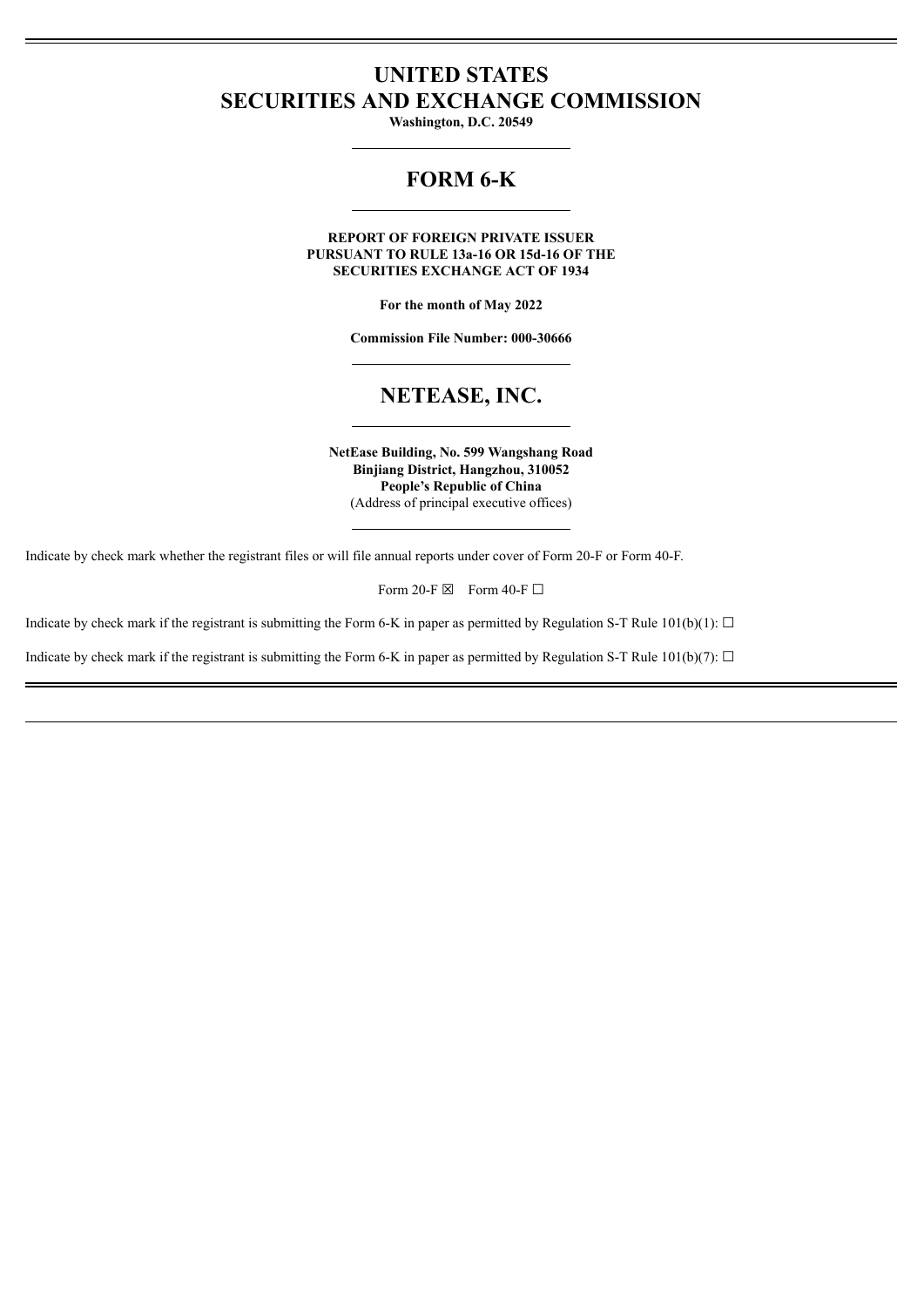# **UNITED STATES SECURITIES AND EXCHANGE COMMISSION**

**Washington, D.C. 20549**

# **FORM 6-K**

**REPORT OF FOREIGN PRIVATE ISSUER PURSUANT TO RULE 13a-16 OR 15d-16 OF THE SECURITIES EXCHANGE ACT OF 1934**

**For the month of May 2022**

**Commission File Number: 000-30666**

# **NETEASE, INC.**

**NetEase Building, No. 599 Wangshang Road Binjiang District, Hangzhou, 310052 People's Republic of China** (Address of principal executive offices)

Indicate by check mark whether the registrant files or will file annual reports under cover of Form 20-F or Form 40-F.

Form 20-F  $\boxtimes$  Form 40-F  $\Box$ 

Indicate by check mark if the registrant is submitting the Form 6-K in paper as permitted by Regulation S-T Rule 101(b)(1):  $\Box$ 

Indicate by check mark if the registrant is submitting the Form 6-K in paper as permitted by Regulation S-T Rule 101(b)(7):  $\Box$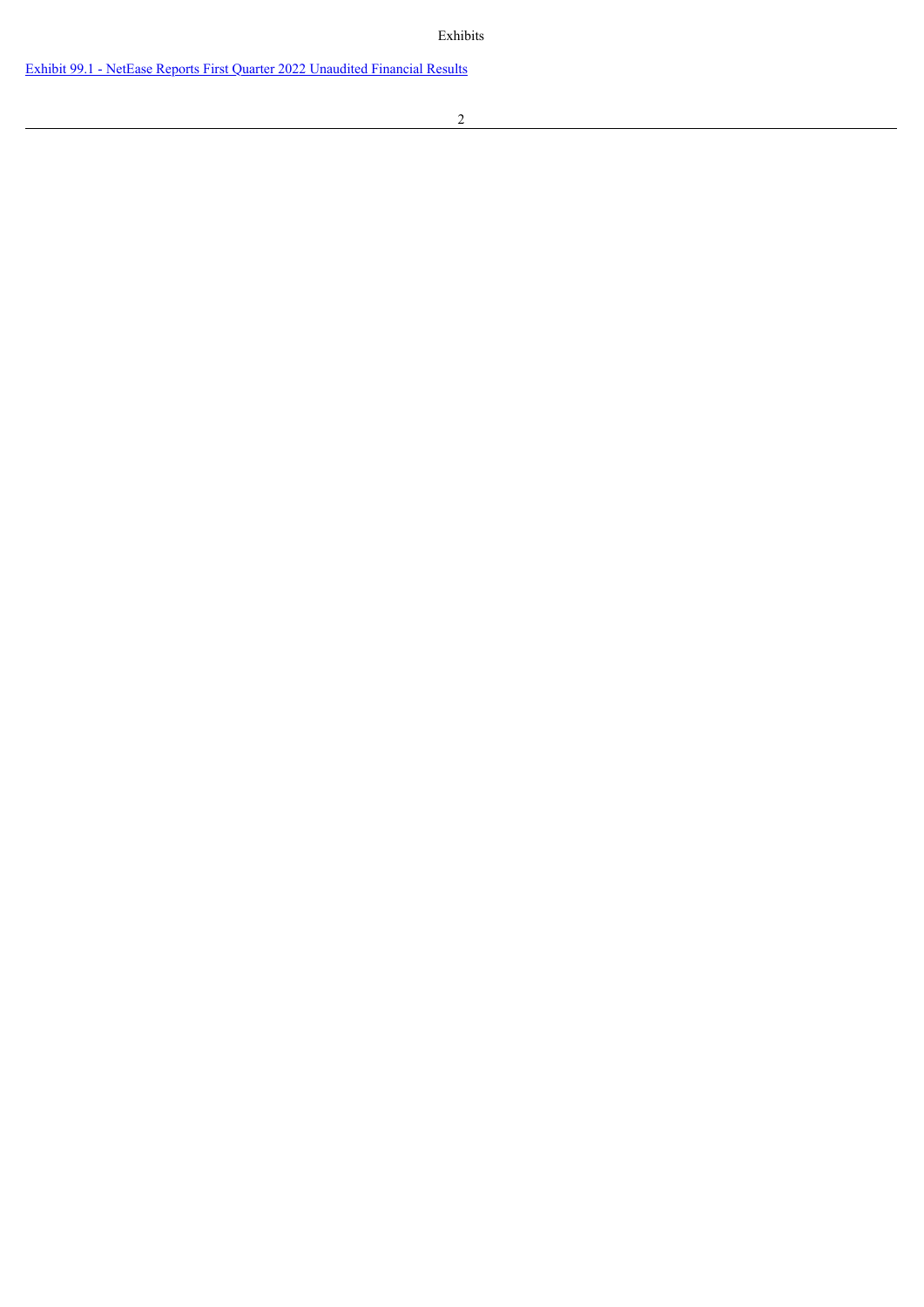Exhibit 99.1 - NetEase Reports First Quarter 2022 [Unaudited](#page-3-0) Financial Results

Exhibits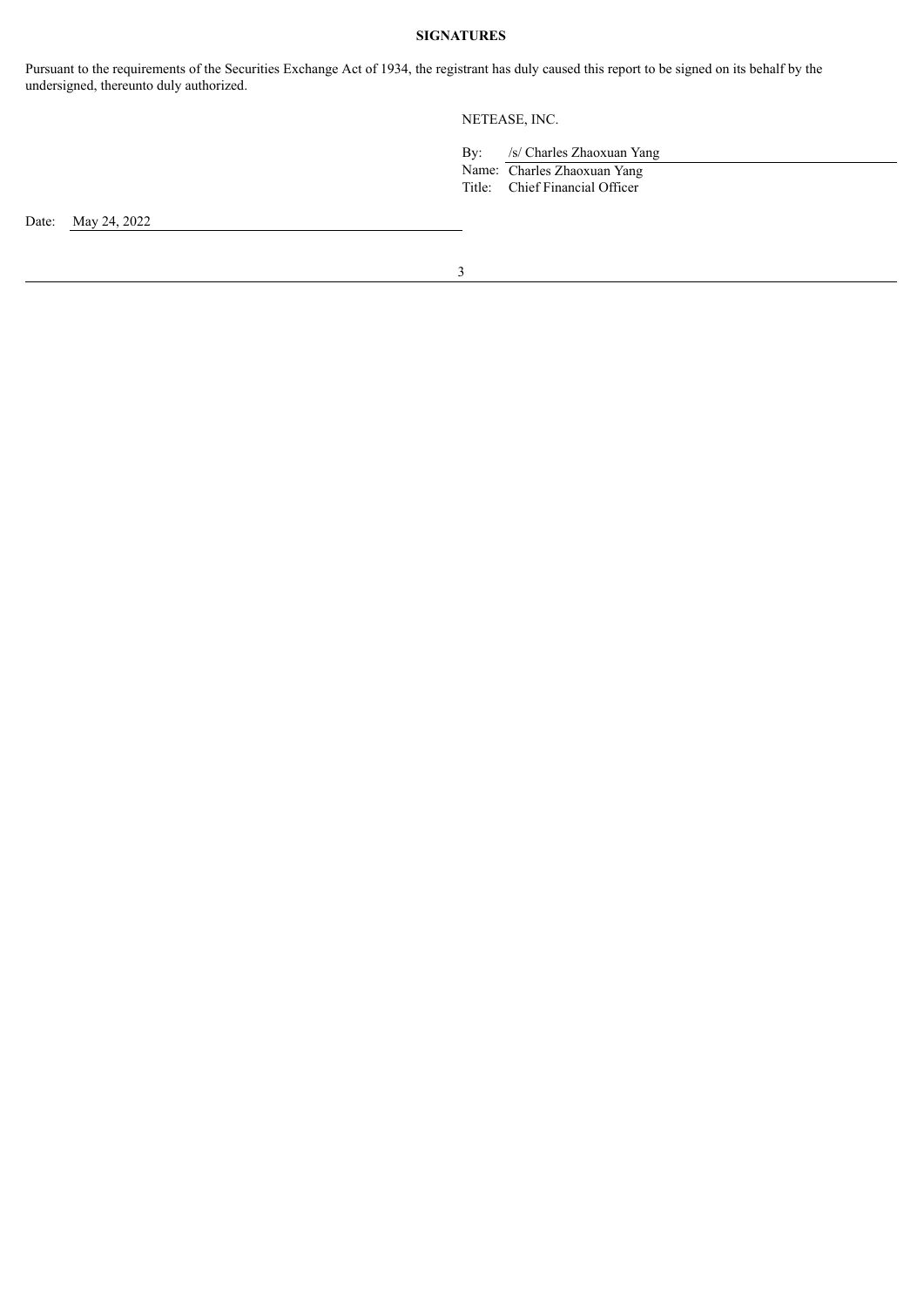## **SIGNATURES**

Pursuant to the requirements of the Securities Exchange Act of 1934, the registrant has duly caused this report to be signed on its behalf by the undersigned, thereunto duly authorized.

NETEASE, INC.

By: /s/ Charles Zhaoxuan Yang

Name: Charles Zhaoxuan Yang Title: Chief Financial Officer

Date: May 24, 2022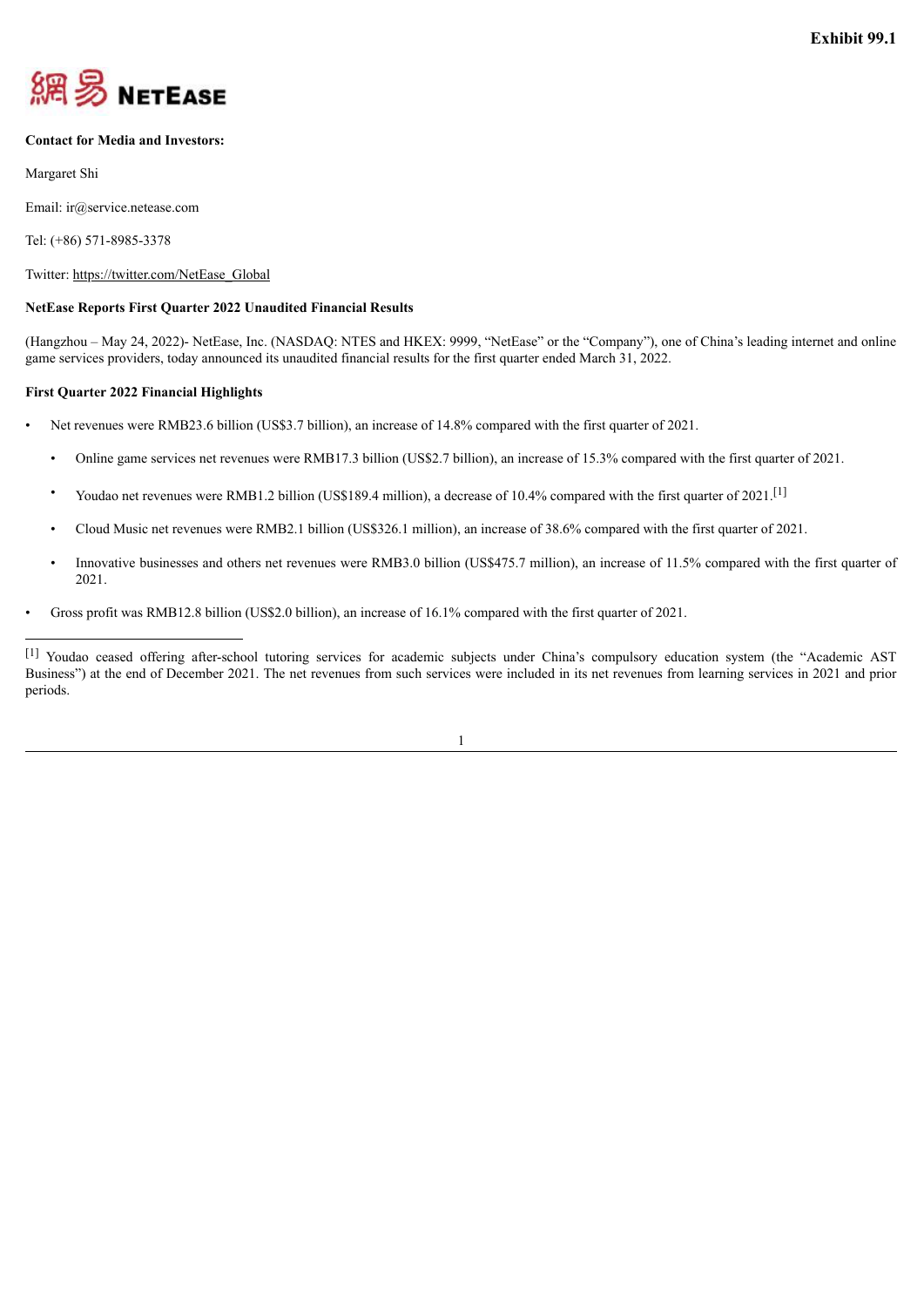<span id="page-3-0"></span>

## **Contact for Media and Investors:**

Margaret Shi

Email: ir@service.netease.com

Tel: (+86) 571-8985-3378

## Twitter: https://twitter.com/NetEase\_Global

## **NetEase Reports First Quarter 2022 Unaudited Financial Results**

(Hangzhou – May 24, 2022)- NetEase, Inc. (NASDAQ: NTES and HKEX: 9999, "NetEase" or the "Company"), one of China's leading internet and online game services providers, today announced its unaudited financial results for the first quarter ended March 31, 2022.

#### **First Quarter 2022 Financial Highlights**

- Net revenues were RMB23.6 billion (US\$3.7 billion), an increase of 14.8% compared with the first quarter of 2021.
	- Online game services net revenues were RMB17.3 billion (US\$2.7 billion), an increase of 15.3% compared with the first quarter of 2021.
	- Youdao net revenues were RMB1.2 billion (US\$189.4 million), a decrease of 10.4% compared with the first quarter of 2021.<sup>[1]</sup>
	- Cloud Music net revenues were RMB2.1 billion (US\$326.1 million), an increase of 38.6% compared with the first quarter of 2021.
	- Innovative businesses and others net revenues were RMB3.0 billion (US\$475.7 million), an increase of 11.5% compared with the first quarter of 2021.
- Gross profit was RMB12.8 billion (US\$2.0 billion), an increase of 16.1% compared with the first quarter of 2021.

<sup>[1]</sup> Youdao ceased offering after-school tutoring services for academic subjects under China's compulsory education system (the "Academic AST Business") at the end of December 2021. The net revenues from such services were included in its net revenues from learning services in 2021 and prior periods.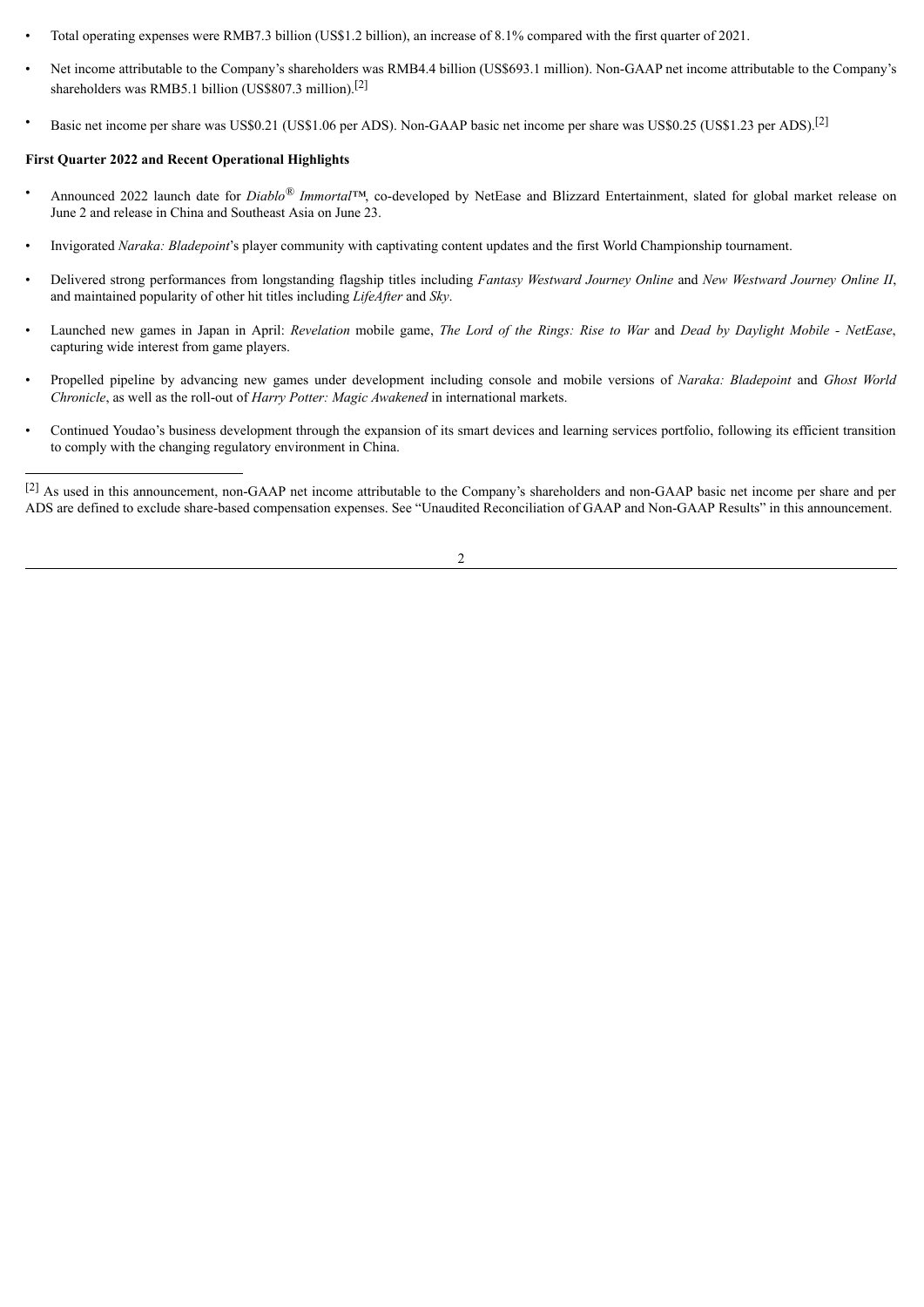- Total operating expenses were RMB7.3 billion (US\$1.2 billion), an increase of 8.1% compared with the first quarter of 2021.
- Net income attributable to the Company's shareholders was RMB4.4 billion (US\$693.1 million). Non-GAAP net income attributable to the Company's shareholders was RMB5.1 billion (US\$807.3 million).<sup>[2]</sup>
- Basic net income per share was US\$0.21 (US\$1.06 per ADS). Non-GAAP basic net income per share was US\$0.25 (US\$1.23 per ADS).<sup>[2]</sup>

## **First Quarter 2022 and Recent Operational Highlights**

- Announced 2022 launch date for *Diablo® Immortal™*, co-developed by NetEase and Blizzard Entertainment, slated for global market release on June 2 and release in China and Southeast Asia on June 23.
- Invigorated *Naraka: Bladepoint*'s player community with captivating content updates and the first World Championship tournament.
- Delivered strong performances from longstanding flagship titles including *Fantasy Westward Journey Online* and *New Westward Journey Online II*, and maintained popularity of other hit titles including *LifeAfter* and *Sky*.
- Launched new games in Japan in April: Revelation mobile game, The Lord of the Rings: Rise to War and Dead by Daylight Mobile NetEase, capturing wide interest from game players.
- Propelled pipeline by advancing new games under development including console and mobile versions of *Naraka: Bladepoint* and *Ghost World Chronicle*, as well as the roll-out of *Harry Potter: Magic Awakened* in international markets.
- Continued Youdao's business development through the expansion of its smart devices and learning services portfolio, following its efficient transition to comply with the changing regulatory environment in China.

[2] As used in this announcement, non-GAAP net income attributable to the Company's shareholders and non-GAAP basic net income per share and per ADS are defined to exclude share-based compensation expenses. See "Unaudited Reconciliation of GAAP and Non-GAAP Results" in this announcement.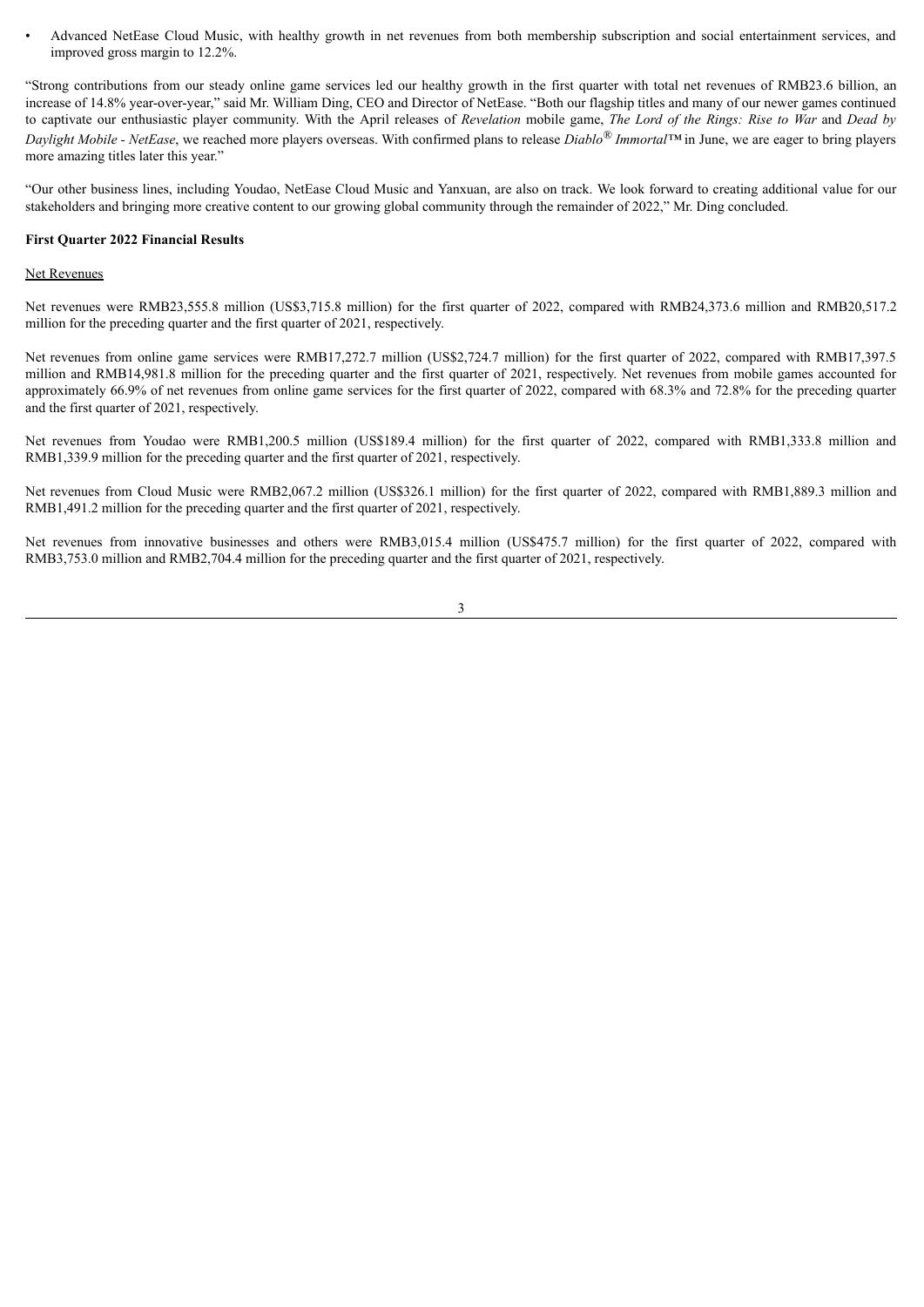• Advanced NetEase Cloud Music, with healthy growth in net revenues from both membership subscription and social entertainment services, and improved gross margin to 12.2%.

"Strong contributions from our steady online game services led our healthy growth in the first quarter with total net revenues of RMB23.6 billion, an increase of 14.8% year-over-year," said Mr. William Ding, CEO and Director of NetEase. "Both our flagship titles and many of our newer games continued to captivate our enthusiastic player community. With the April releases of *Revelation* mobile game, *The Lord of the Rings: Rise to War* and *Dead by Daylight Mobile - NetEase*, we reached more players overseas. With confirmed plans to release *Diablo® Immortal™* in June, we are eager to bring players more amazing titles later this year."

"Our other business lines, including Youdao, NetEase Cloud Music and Yanxuan, are also on track. We look forward to creating additional value for our stakeholders and bringing more creative content to our growing global community through the remainder of 2022," Mr. Ding concluded.

#### **First Quarter 2022 Financial Results**

#### Net Revenues

Net revenues were RMB23,555.8 million (US\$3,715.8 million) for the first quarter of 2022, compared with RMB24,373.6 million and RMB20,517.2 million for the preceding quarter and the first quarter of 2021, respectively.

Net revenues from online game services were RMB17,272.7 million (US\$2,724.7 million) for the first quarter of 2022, compared with RMB17,397.5 million and RMB14,981.8 million for the preceding quarter and the first quarter of 2021, respectively. Net revenues from mobile games accounted for approximately 66.9% of net revenues from online game services for the first quarter of 2022, compared with 68.3% and 72.8% for the preceding quarter and the first quarter of 2021, respectively.

Net revenues from Youdao were RMB1,200.5 million (US\$189.4 million) for the first quarter of 2022, compared with RMB1,333.8 million and RMB1,339.9 million for the preceding quarter and the first quarter of 2021, respectively.

Net revenues from Cloud Music were RMB2,067.2 million (US\$326.1 million) for the first quarter of 2022, compared with RMB1,889.3 million and RMB1,491.2 million for the preceding quarter and the first quarter of 2021, respectively.

Net revenues from innovative businesses and others were RMB3.015.4 million (US\$475.7 million) for the first quarter of 2022, compared with RMB3,753.0 million and RMB2,704.4 million for the preceding quarter and the first quarter of 2021, respectively.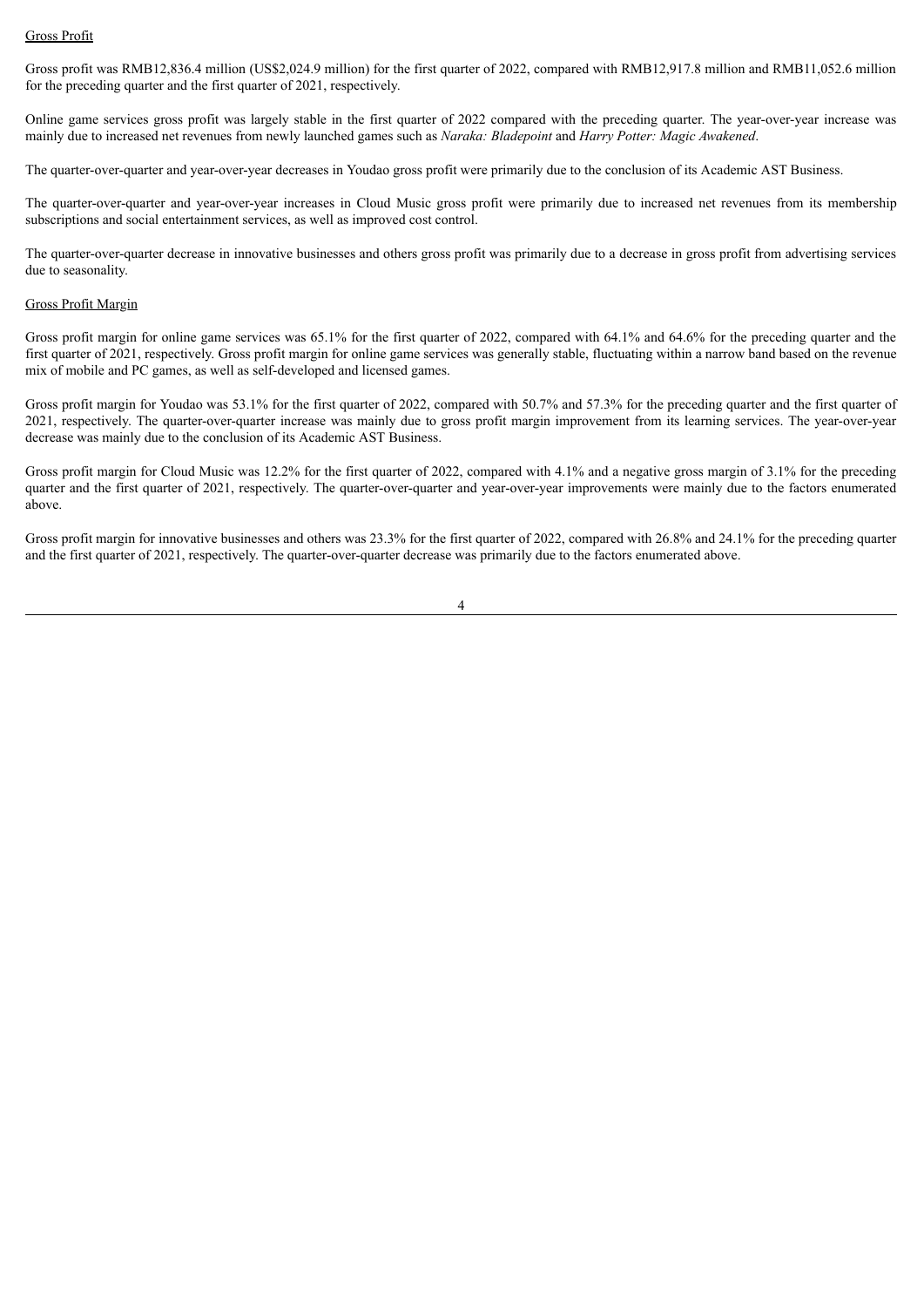#### Gross Profit

Gross profit was RMB12,836.4 million (US\$2,024.9 million) for the first quarter of 2022, compared with RMB12,917.8 million and RMB11,052.6 million for the preceding quarter and the first quarter of 2021, respectively.

Online game services gross profit was largely stable in the first quarter of 2022 compared with the preceding quarter. The year-over-year increase was mainly due to increased net revenues from newly launched games such as *Naraka: Bladepoint* and *Harry Potter: Magic Awakened*.

The quarter-over-quarter and year-over-year decreases in Youdao gross profit were primarily due to the conclusion of its Academic AST Business.

The quarter-over-quarter and year-over-year increases in Cloud Music gross profit were primarily due to increased net revenues from its membership subscriptions and social entertainment services, as well as improved cost control.

The quarter-over-quarter decrease in innovative businesses and others gross profit was primarily due to a decrease in gross profit from advertising services due to seasonality.

## Gross Profit Margin

Gross profit margin for online game services was 65.1% for the first quarter of 2022, compared with 64.1% and 64.6% for the preceding quarter and the first quarter of 2021, respectively. Gross profit margin for online game services was generally stable, fluctuating within a narrow band based on the revenue mix of mobile and PC games, as well as self-developed and licensed games.

Gross profit margin for Youdao was 53.1% for the first quarter of 2022, compared with 50.7% and 57.3% for the preceding quarter and the first quarter of 2021, respectively. The quarter-over-quarter increase was mainly due to gross profit margin improvement from its learning services. The year-over-year decrease was mainly due to the conclusion of its Academic AST Business.

Gross profit margin for Cloud Music was 12.2% for the first quarter of 2022, compared with 4.1% and a negative gross margin of 3.1% for the preceding quarter and the first quarter of 2021, respectively. The quarter-over-quarter and year-over-year improvements were mainly due to the factors enumerated above.

Gross profit margin for innovative businesses and others was 23.3% for the first quarter of 2022, compared with 26.8% and 24.1% for the preceding quarter and the first quarter of 2021, respectively. The quarter-over-quarter decrease was primarily due to the factors enumerated above.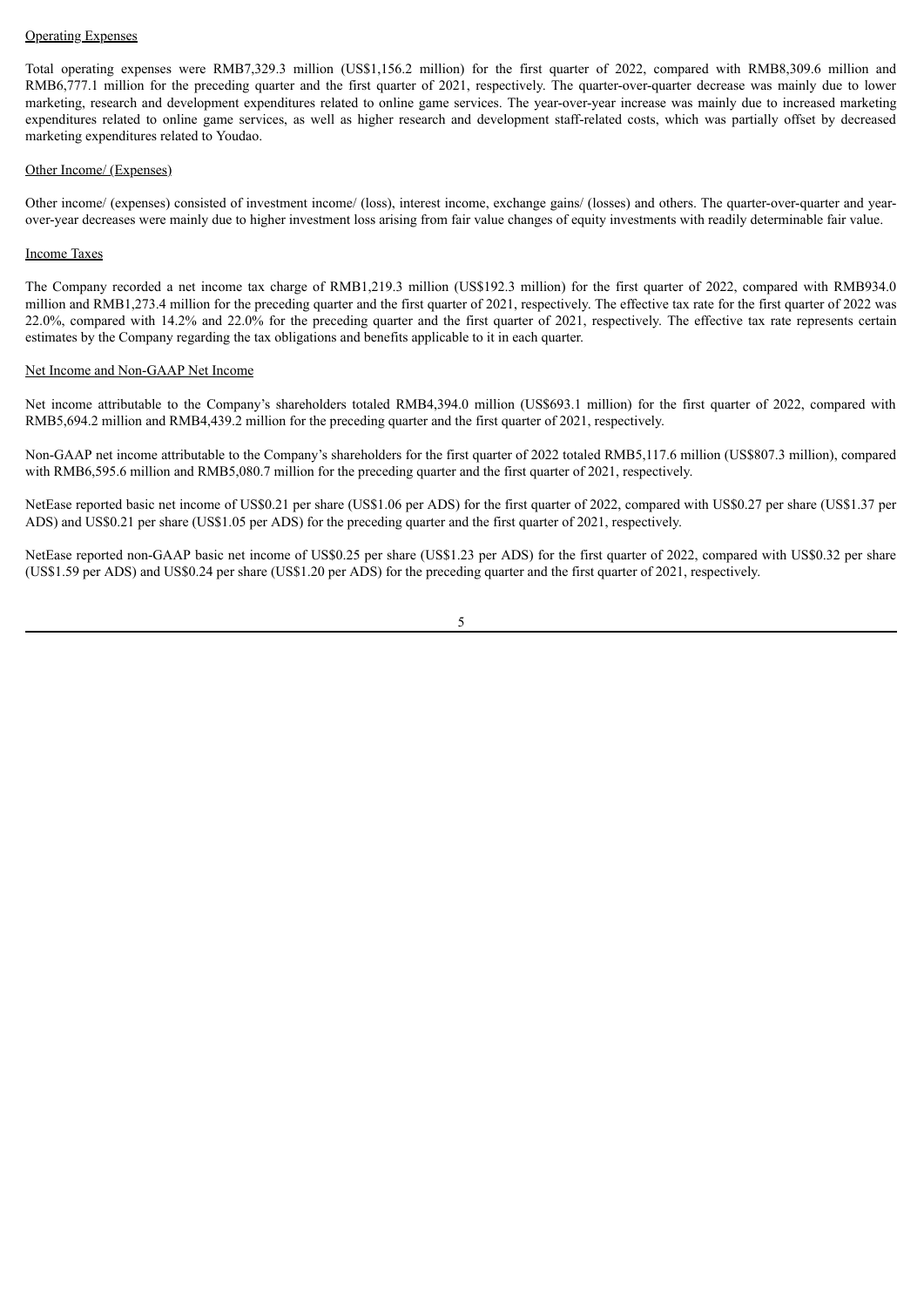## Operating Expenses

Total operating expenses were RMB7,329.3 million (US\$1,156.2 million) for the first quarter of 2022, compared with RMB8,309.6 million and RMB6,777.1 million for the preceding quarter and the first quarter of 2021, respectively. The quarter-over-quarter decrease was mainly due to lower marketing, research and development expenditures related to online game services. The year-over-year increase was mainly due to increased marketing expenditures related to online game services, as well as higher research and development staff-related costs, which was partially offset by decreased marketing expenditures related to Youdao.

#### Other Income/ (Expenses)

Other income/ (expenses) consisted of investment income/ (loss), interest income, exchange gains/ (losses) and others. The quarter-over-quarter and yearover-year decreases were mainly due to higher investment loss arising from fair value changes of equity investments with readily determinable fair value.

#### Income Taxes

The Company recorded a net income tax charge of RMB1,219.3 million (US\$192.3 million) for the first quarter of 2022, compared with RMB934.0 million and RMB1,273.4 million for the preceding quarter and the first quarter of 2021, respectively. The effective tax rate for the first quarter of 2022 was 22.0%, compared with 14.2% and 22.0% for the preceding quarter and the first quarter of 2021, respectively. The effective tax rate represents certain estimates by the Company regarding the tax obligations and benefits applicable to it in each quarter.

## Net Income and Non-GAAP Net Income

Net income attributable to the Company's shareholders totaled RMB4.394.0 million (US\$693.1 million) for the first quarter of 2022, compared with RMB5,694.2 million and RMB4,439.2 million for the preceding quarter and the first quarter of 2021, respectively.

Non-GAAP net income attributable to the Company's shareholders for the first quarter of 2022 totaled RMB5,117.6 million (US\$807.3 million), compared with RMB6,595.6 million and RMB5,080.7 million for the preceding quarter and the first quarter of 2021, respectively.

NetEase reported basic net income of US\$0.21 per share (US\$1.06 per ADS) for the first quarter of 2022, compared with US\$0.27 per share (US\$1.37 per ADS) and US\$0.21 per share (US\$1.05 per ADS) for the preceding quarter and the first quarter of 2021, respectively.

NetEase reported non-GAAP basic net income of US\$0.25 per share (US\$1.23 per ADS) for the first quarter of 2022, compared with US\$0.32 per share (US\$1.59 per ADS) and US\$0.24 per share (US\$1.20 per ADS) for the preceding quarter and the first quarter of 2021, respectively.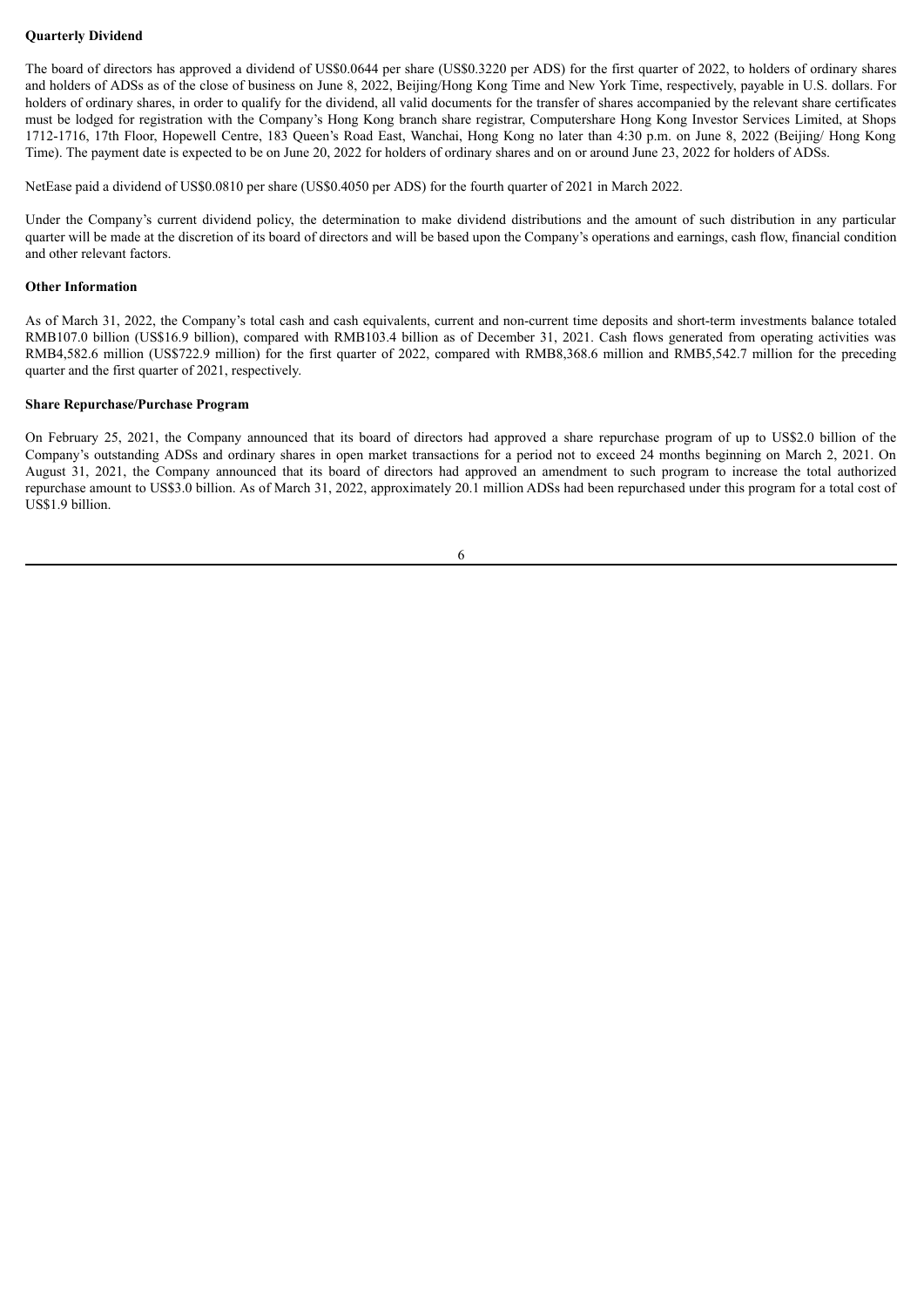## **Quarterly Dividend**

The board of directors has approved a dividend of US\$0.0644 per share (US\$0.3220 per ADS) for the first quarter of 2022, to holders of ordinary shares and holders of ADSs as of the close of business on June 8, 2022, Beijing/Hong Kong Time and New York Time, respectively, payable in U.S. dollars. For holders of ordinary shares, in order to qualify for the dividend, all valid documents for the transfer of shares accompanied by the relevant share certificates must be lodged for registration with the Company's Hong Kong branch share registrar, Computershare Hong Kong Investor Services Limited, at Shops 1712-1716, 17th Floor, Hopewell Centre, 183 Queen's Road East, Wanchai, Hong Kong no later than 4:30 p.m. on June 8, 2022 (Beijing/ Hong Kong Time). The payment date is expected to be on June 20, 2022 for holders of ordinary shares and on or around June 23, 2022 for holders of ADSs.

NetEase paid a dividend of US\$0.0810 per share (US\$0.4050 per ADS) for the fourth quarter of 2021 in March 2022.

Under the Company's current dividend policy, the determination to make dividend distributions and the amount of such distribution in any particular quarter will be made at the discretion of its board of directors and will be based upon the Company's operations and earnings, cash flow, financial condition and other relevant factors.

## **Other Information**

As of March 31, 2022, the Company's total cash and cash equivalents, current and non-current time deposits and short-term investments balance totaled RMB107.0 billion (US\$16.9 billion), compared with RMB103.4 billion as of December 31, 2021. Cash flows generated from operating activities was RMB4,582.6 million (US\$722.9 million) for the first quarter of 2022, compared with RMB8,368.6 million and RMB5,542.7 million for the preceding quarter and the first quarter of 2021, respectively.

#### **Share Repurchase/Purchase Program**

On February 25, 2021, the Company announced that its board of directors had approved a share repurchase program of up to US\$2.0 billion of the Company's outstanding ADSs and ordinary shares in open market transactions for a period not to exceed 24 months beginning on March 2, 2021. On August 31, 2021, the Company announced that its board of directors had approved an amendment to such program to increase the total authorized repurchase amount to US\$3.0 billion. As of March 31, 2022, approximately 20.1 million ADSs had been repurchased under this program for a total cost of US\$1.9 billion.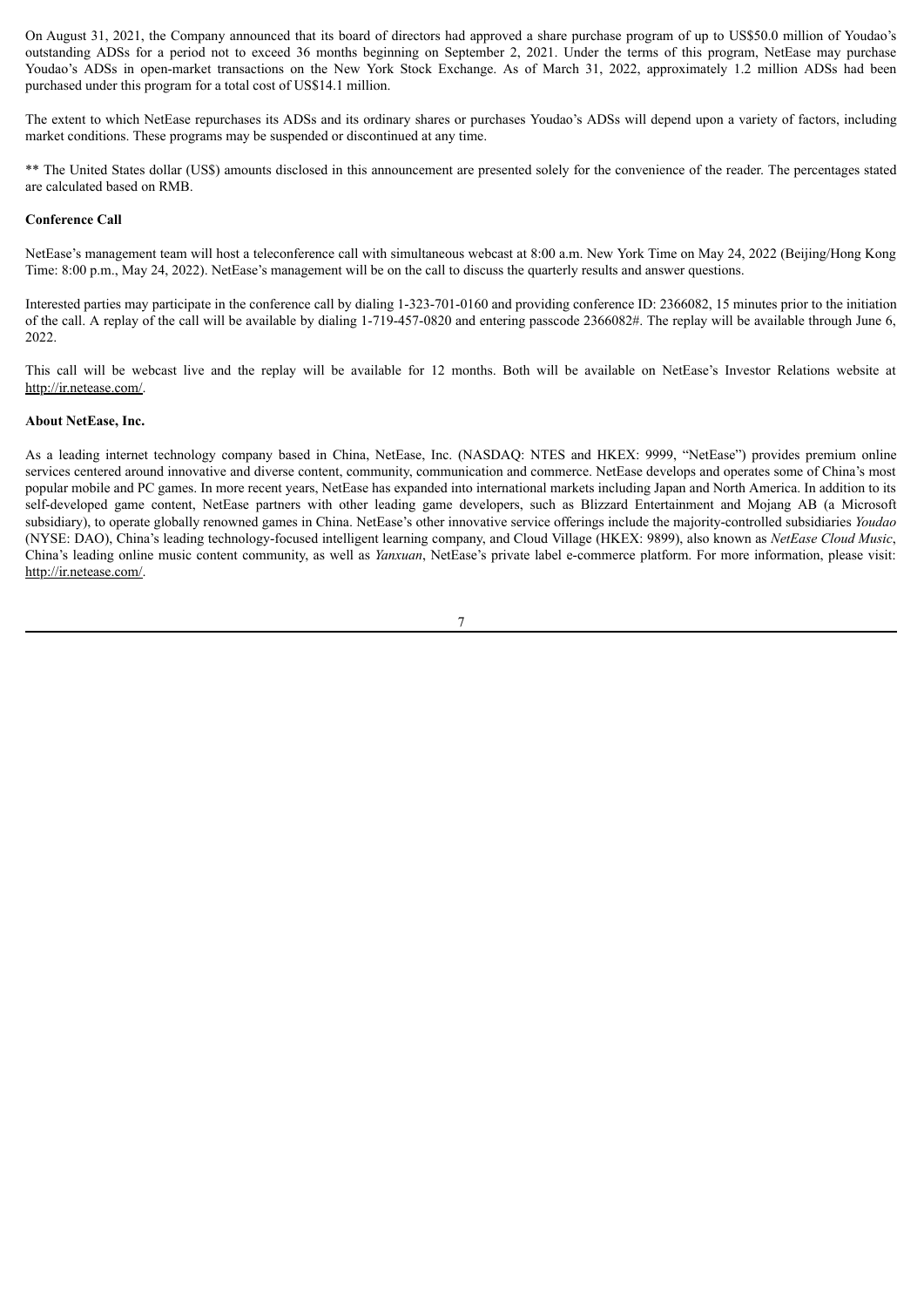On August 31, 2021, the Company announced that its board of directors had approved a share purchase program of up to US\$50.0 million of Youdao's outstanding ADSs for a period not to exceed 36 months beginning on September 2, 2021. Under the terms of this program, NetEase may purchase Youdao's ADSs in open-market transactions on the New York Stock Exchange. As of March 31, 2022, approximately 1.2 million ADSs had been purchased under this program for a total cost of US\$14.1 million.

The extent to which NetEase repurchases its ADSs and its ordinary shares or purchases Youdao's ADSs will depend upon a variety of factors, including market conditions. These programs may be suspended or discontinued at any time.

\*\* The United States dollar (US\$) amounts disclosed in this announcement are presented solely for the convenience of the reader. The percentages stated are calculated based on RMB.

## **Conference Call**

NetEase's management team will host a teleconference call with simultaneous webcast at 8:00 a.m. New York Time on May 24, 2022 (Beijing/Hong Kong Time: 8:00 p.m., May 24, 2022). NetEase's management will be on the call to discuss the quarterly results and answer questions.

Interested parties may participate in the conference call by dialing 1-323-701-0160 and providing conference ID: 2366082, 15 minutes prior to the initiation of the call. A replay of the call will be available by dialing 1-719-457-0820 and entering passcode 2366082#. The replay will be available through June 6, 2022

This call will be webcast live and the replay will be available for 12 months. Both will be available on NetEase's Investor Relations website at http://ir.netease.com/.

#### **About NetEase, Inc.**

As a leading internet technology company based in China, NetEase, Inc. (NASDAQ: NTES and HKEX: 9999, "NetEase") provides premium online services centered around innovative and diverse content, community, communication and commerce. NetEase develops and operates some of China's most popular mobile and PC games. In more recent years, NetEase has expanded into international markets including Japan and North America. In addition to its self-developed game content, NetEase partners with other leading game developers, such as Blizzard Entertainment and Mojang AB (a Microsoft subsidiary), to operate globally renowned games in China. NetEase's other innovative service offerings include the majority-controlled subsidiaries *Youdao* (NYSE: DAO), China's leading technology-focused intelligent learning company, and Cloud Village (HKEX: 9899), also known as *NetEase Cloud Music*, China's leading online music content community, as well as *Yanxuan*, NetEase's private label e-commerce platform. For more information, please visit: http://ir.netease.com/.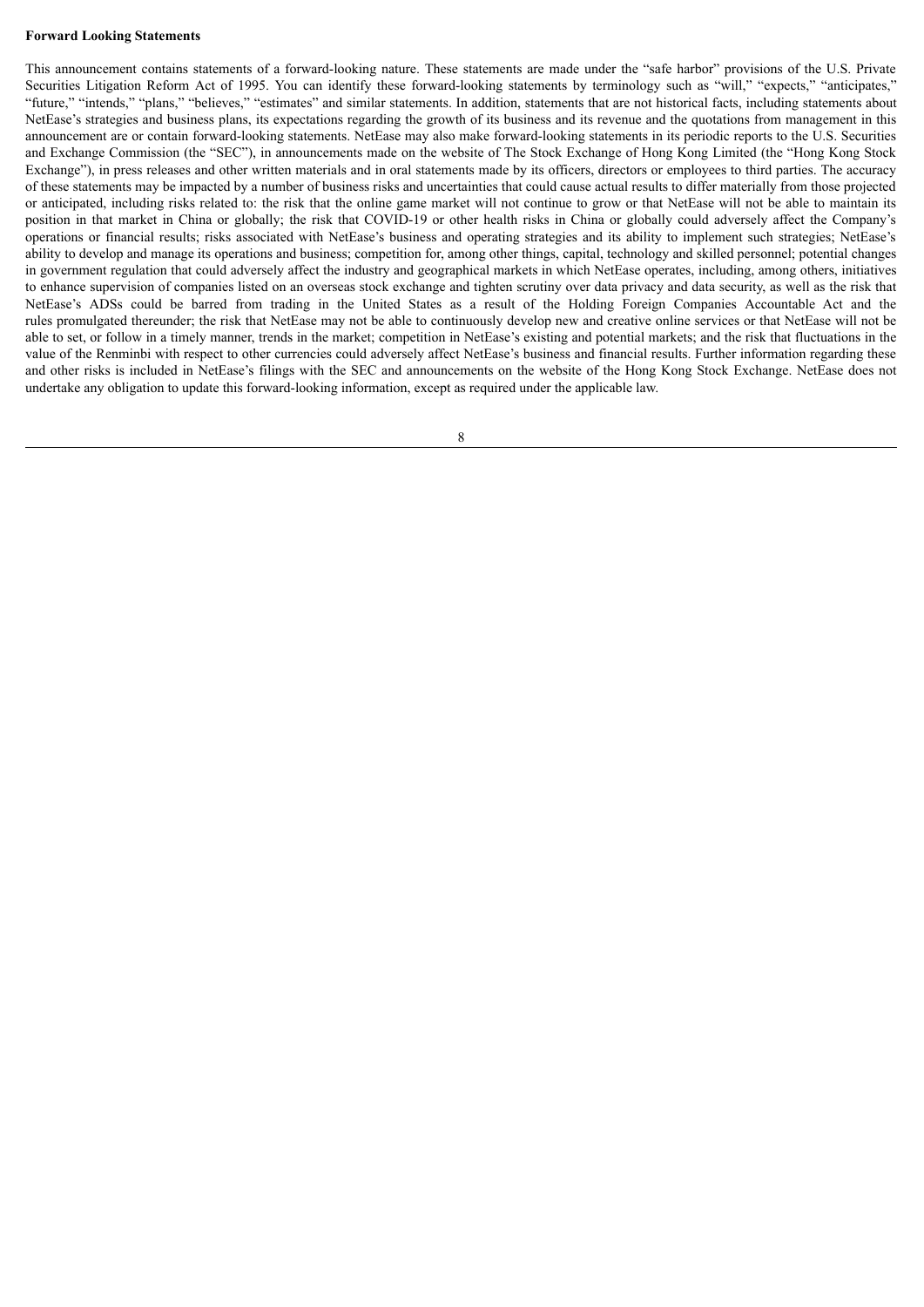#### **Forward Looking Statements**

This announcement contains statements of a forward-looking nature. These statements are made under the "safe harbor" provisions of the U.S. Private Securities Litigation Reform Act of 1995. You can identify these forward-looking statements by terminology such as "will," "expects," "anticipates," "future," "intends," "plans," "believes," "estimates" and similar statements. In addition, statements that are not historical facts, including statements about NetEase's strategies and business plans, its expectations regarding the growth of its business and its revenue and the quotations from management in this announcement are or contain forward-looking statements. NetEase may also make forward-looking statements in its periodic reports to the U.S. Securities and Exchange Commission (the "SEC"), in announcements made on the website of The Stock Exchange of Hong Kong Limited (the "Hong Kong Stock Exchange"), in press releases and other written materials and in oral statements made by its officers, directors or employees to third parties. The accuracy of these statements may be impacted by a number of business risks and uncertainties that could cause actual results to differ materially from those projected or anticipated, including risks related to: the risk that the online game market will not continue to grow or that NetEase will not be able to maintain its position in that market in China or globally; the risk that COVID-19 or other health risks in China or globally could adversely affect the Company's operations or financial results; risks associated with NetEase's business and operating strategies and its ability to implement such strategies; NetEase's ability to develop and manage its operations and business; competition for, among other things, capital, technology and skilled personnel; potential changes in government regulation that could adversely affect the industry and geographical markets in which NetEase operates, including, among others, initiatives to enhance supervision of companies listed on an overseas stock exchange and tighten scrutiny over data privacy and data security, as well as the risk that NetEase's ADSs could be barred from trading in the United States as a result of the Holding Foreign Companies Accountable Act and the rules promulgated thereunder; the risk that NetEase may not be able to continuously develop new and creative online services or that NetEase will not be able to set, or follow in a timely manner, trends in the market; competition in NetEase's existing and potential markets; and the risk that fluctuations in the value of the Renminbi with respect to other currencies could adversely affect NetEase's business and financial results. Further information regarding these and other risks is included in NetEase's filings with the SEC and announcements on the website of the Hong Kong Stock Exchange. NetEase does not undertake any obligation to update this forward-looking information, except as required under the applicable law.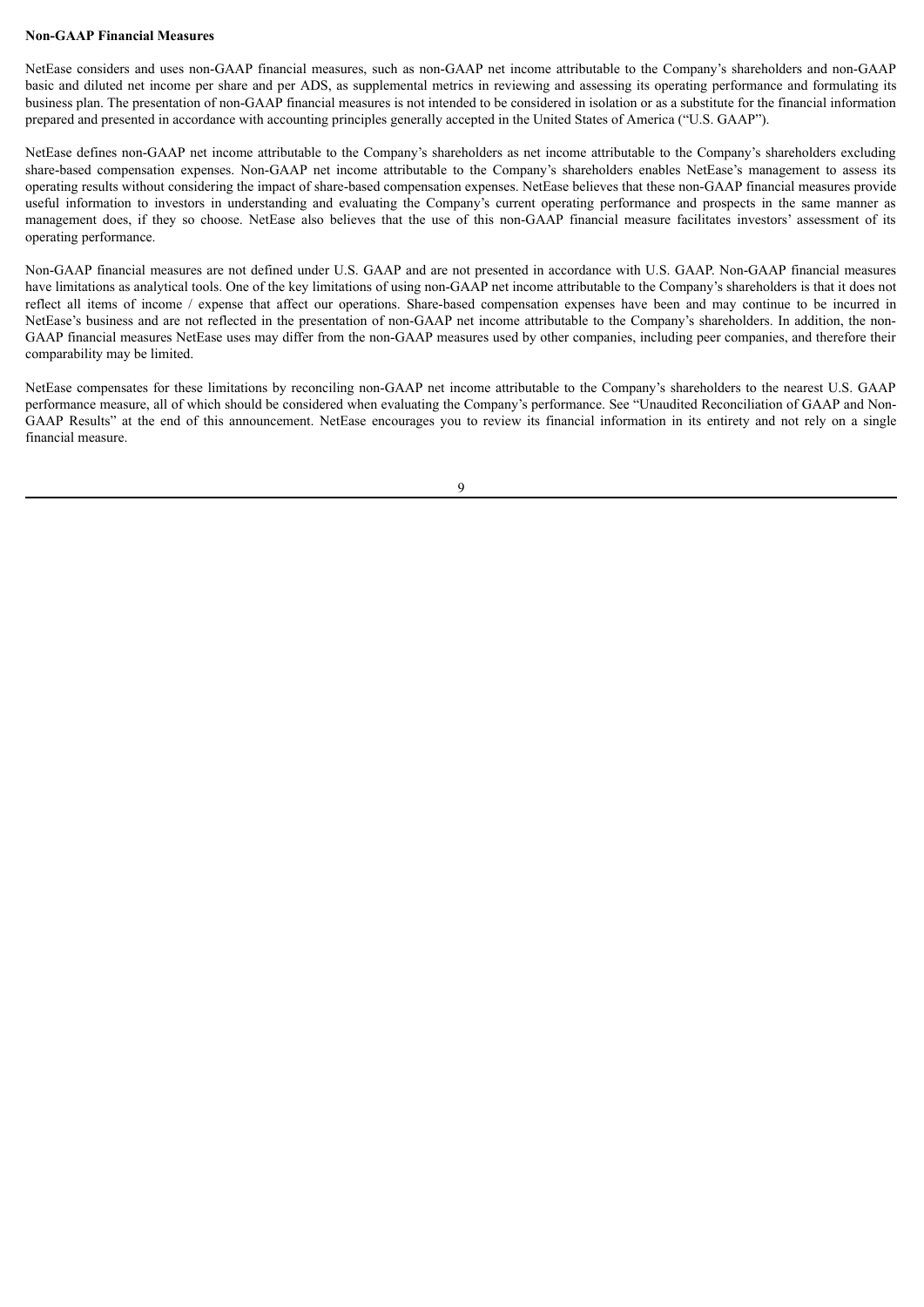### **Non-GAAP Financial Measures**

NetEase considers and uses non-GAAP financial measures, such as non-GAAP net income attributable to the Company's shareholders and non-GAAP basic and diluted net income per share and per ADS, as supplemental metrics in reviewing and assessing its operating performance and formulating its business plan. The presentation of non-GAAP financial measures is not intended to be considered in isolation or as a substitute for the financial information prepared and presented in accordance with accounting principles generally accepted in the United States of America ("U.S. GAAP").

NetEase defines non-GAAP net income attributable to the Company's shareholders as net income attributable to the Company's shareholders excluding share-based compensation expenses. Non-GAAP net income attributable to the Company's shareholders enables NetEase's management to assess its operating results without considering the impact of share-based compensation expenses. NetEase believes that these non-GAAP financial measures provide useful information to investors in understanding and evaluating the Company's current operating performance and prospects in the same manner as management does, if they so choose. NetEase also believes that the use of this non-GAAP financial measure facilitates investors' assessment of its operating performance.

Non-GAAP financial measures are not defined under U.S. GAAP and are not presented in accordance with U.S. GAAP. Non-GAAP financial measures have limitations as analytical tools. One of the key limitations of using non-GAAP net income attributable to the Company's shareholders is that it does not reflect all items of income / expense that affect our operations. Share-based compensation expenses have been and may continue to be incurred in NetEase's business and are not reflected in the presentation of non-GAAP net income attributable to the Company's shareholders. In addition, the non-GAAP financial measures NetEase uses may differ from the non-GAAP measures used by other companies, including peer companies, and therefore their comparability may be limited.

NetEase compensates for these limitations by reconciling non-GAAP net income attributable to the Company's shareholders to the nearest U.S. GAAP performance measure, all of which should be considered when evaluating the Company's performance. See "Unaudited Reconciliation of GAAP and Non-GAAP Results" at the end of this announcement. NetEase encourages you to review its financial information in its entirety and not rely on a single financial measure.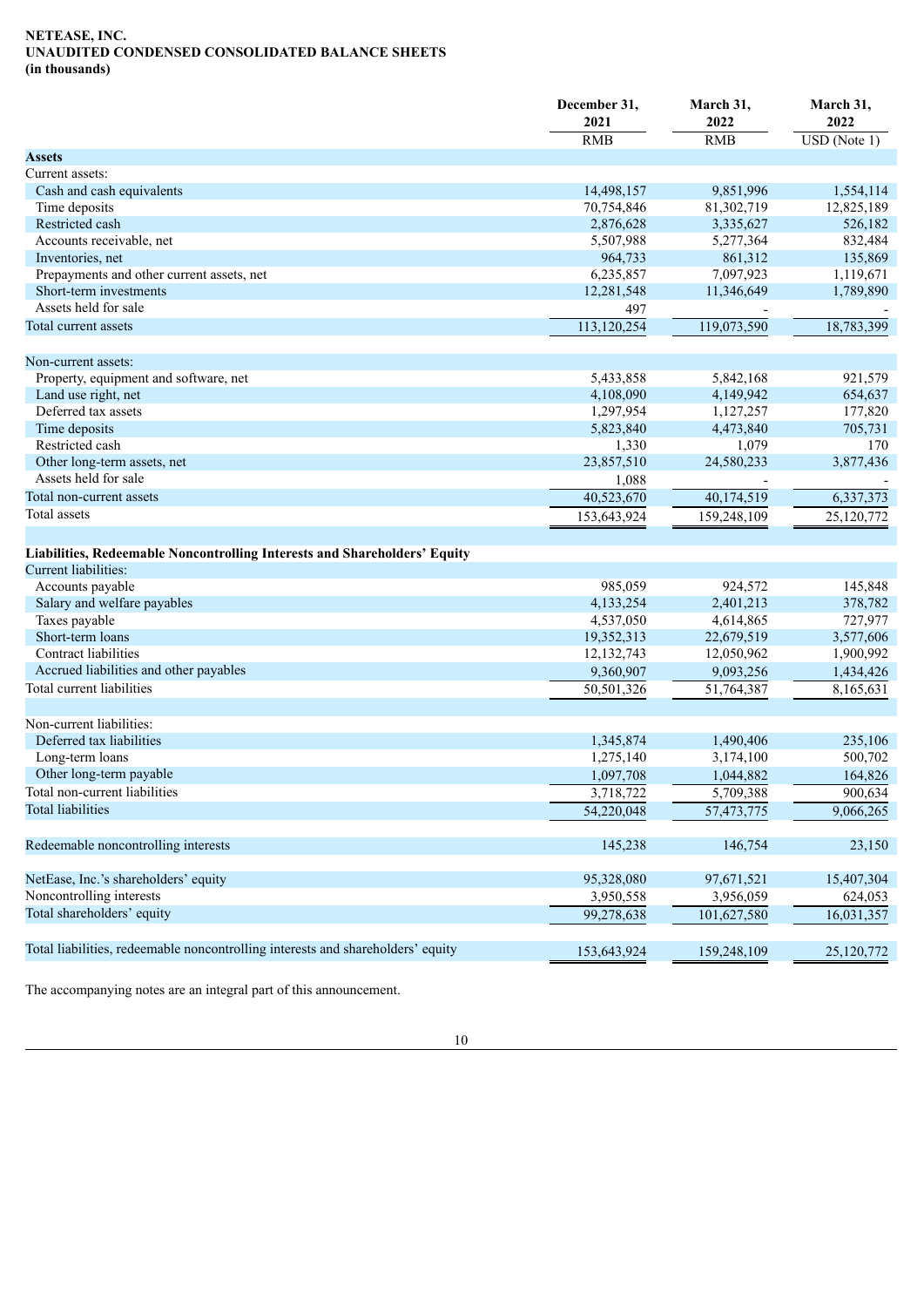## **NETEASE, INC.**

# **UNAUDITED CONDENSED CONSOLIDATED BALANCE SHEETS**

**(in thousands)**

|                                                                                 | December 31,            | March 31,            | March 31,                        |
|---------------------------------------------------------------------------------|-------------------------|----------------------|----------------------------------|
|                                                                                 | 2021                    | 2022                 | 2022                             |
|                                                                                 | <b>RMB</b>              | RMB                  | $\overline{\text{USD (Note 1)}}$ |
| <b>Assets</b>                                                                   |                         |                      |                                  |
| Current assets:                                                                 |                         |                      |                                  |
| Cash and cash equivalents                                                       | 14,498,157              | 9,851,996            | 1,554,114                        |
| Time deposits                                                                   | 70,754,846              | 81,302,719           | 12,825,189                       |
| Restricted cash                                                                 | 2,876,628               | 3,335,627            | 526,182                          |
| Accounts receivable, net                                                        | 5,507,988               | 5,277,364            | 832,484                          |
| Inventories, net                                                                | 964,733                 | 861,312<br>7,097,923 | 135,869                          |
| Prepayments and other current assets, net<br>Short-term investments             | 6,235,857<br>12,281,548 | 11,346,649           | 1,119,671<br>1,789,890           |
| Assets held for sale                                                            |                         |                      |                                  |
|                                                                                 | 497                     |                      |                                  |
| Total current assets                                                            | 113,120,254             | 119,073,590          | 18,783,399                       |
| Non-current assets:                                                             |                         |                      |                                  |
| Property, equipment and software, net                                           | 5,433,858               | 5,842,168            | 921,579                          |
| Land use right, net                                                             | 4,108,090               | 4,149,942            | 654,637                          |
| Deferred tax assets                                                             | 1,297,954               | 1,127,257            | 177,820                          |
| Time deposits                                                                   | 5,823,840               | 4,473,840            | 705,731                          |
| Restricted cash                                                                 | 1,330                   | 1,079                | 170                              |
| Other long-term assets, net                                                     | 23,857,510              | 24,580,233           | 3,877,436                        |
| Assets held for sale                                                            | 1,088                   |                      |                                  |
| Total non-current assets                                                        | 40,523,670              | 40,174,519           | 6,337,373                        |
| <b>Total</b> assets                                                             | 153,643,924             | 159,248,109          | 25,120,772                       |
| Liabilities, Redeemable Noncontrolling Interests and Shareholders' Equity       |                         |                      |                                  |
| Current liabilities:                                                            |                         |                      |                                  |
| Accounts payable                                                                | 985,059                 | 924,572              | 145,848                          |
| Salary and welfare payables                                                     | 4,133,254               | 2,401,213            | 378,782                          |
| Taxes payable                                                                   | 4,537,050               | 4,614,865            | 727,977                          |
| Short-term loans                                                                | 19,352,313              | 22,679,519           | 3,577,606                        |
| Contract liabilities                                                            | 12, 132, 743            | 12,050,962           | 1,900,992                        |
| Accrued liabilities and other payables                                          | 9,360,907               | 9,093,256            | 1,434,426                        |
| Total current liabilities                                                       | 50,501,326              | 51,764,387           | 8,165,631                        |
|                                                                                 |                         |                      |                                  |
| Non-current liabilities:                                                        |                         |                      |                                  |
| Deferred tax liabilities                                                        | 1,345,874               | 1,490,406            | 235,106                          |
| Long-term loans                                                                 | 1,275,140               | 3,174,100            | 500,702                          |
| Other long-term payable                                                         | 1,097,708               | 1,044,882            | 164,826                          |
| Total non-current liabilities                                                   | 3,718,722               | 5,709,388            | 900,634                          |
| <b>Total liabilities</b>                                                        | 54,220,048              | 57,473,775           | 9,066,265                        |
| Redeemable noncontrolling interests                                             | 145,238                 | 146,754              | 23,150                           |
| NetEase, Inc.'s shareholders' equity                                            |                         |                      |                                  |
| Noncontrolling interests                                                        | 95,328,080              | 97,671,521           | 15,407,304                       |
|                                                                                 | 3,950,558               | 3,956,059            | 624,053                          |
| Total shareholders' equity                                                      | 99,278,638              | 101,627,580          | 16,031,357                       |
| Total liabilities, redeemable noncontrolling interests and shareholders' equity | 153,643,924             | 159,248,109          | 25,120,772                       |

The accompanying notes are an integral part of this announcement.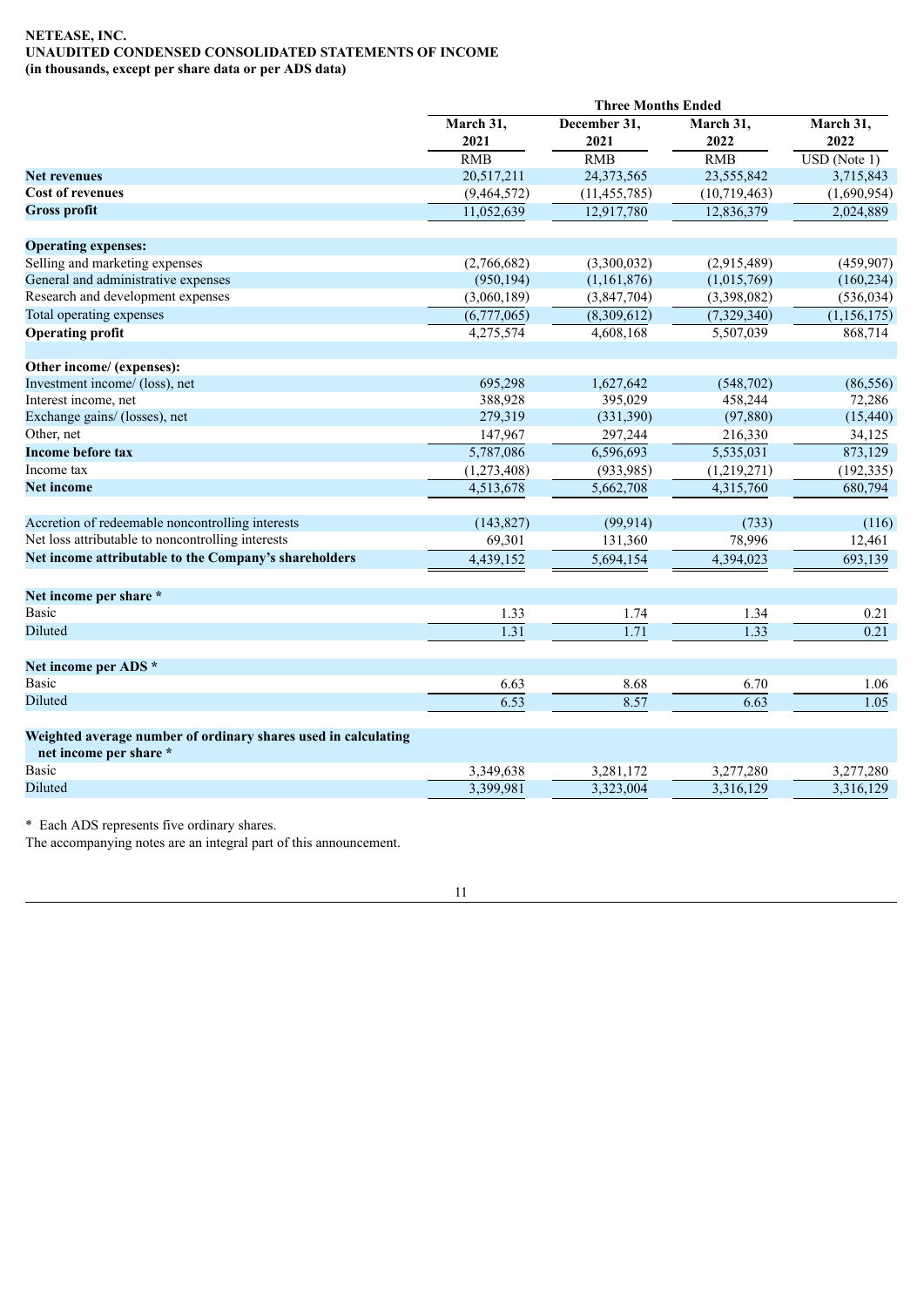## **NETEASE, INC. UNAUDITED CONDENSED CONSOLIDATED STATEMENTS OF INCOME (in thousands, except per share data or per ADS data)**

|                                                                                          | <b>Three Months Ended</b> |                    |                    |                   |
|------------------------------------------------------------------------------------------|---------------------------|--------------------|--------------------|-------------------|
|                                                                                          | March 31,                 | December 31,       | March 31,          | March 31,<br>2022 |
|                                                                                          | 2021                      | 2021<br><b>RMB</b> | 2022<br><b>RMB</b> |                   |
|                                                                                          | <b>RMB</b>                |                    |                    | USD (Note 1)      |
| <b>Net revenues</b>                                                                      | 20,517,211                | 24,373,565         | 23,555,842         | 3,715,843         |
| <b>Cost of revenues</b>                                                                  | (9,464,572)               | (11, 455, 785)     | (10,719,463)       | (1,690,954)       |
| <b>Gross profit</b>                                                                      | 11,052,639                | 12,917,780         | 12,836,379         | 2,024,889         |
| <b>Operating expenses:</b>                                                               |                           |                    |                    |                   |
| Selling and marketing expenses                                                           | (2,766,682)               | (3,300,032)        | (2,915,489)        | (459,907)         |
| General and administrative expenses                                                      | (950, 194)                | (1,161,876)        | (1,015,769)        | (160, 234)        |
| Research and development expenses                                                        | (3,060,189)               | (3,847,704)        | (3,398,082)        | (536, 034)        |
| Total operating expenses                                                                 | (6,777,065)               | (8,309,612)        | (7,329,340)        | (1, 156, 175)     |
| <b>Operating profit</b>                                                                  | 4,275,574                 | 4,608,168          | 5,507,039          | 868,714           |
| Other income/ (expenses):                                                                |                           |                    |                    |                   |
| Investment income/ (loss), net                                                           | 695,298                   | 1,627,642          | (548, 702)         | (86, 556)         |
| Interest income, net                                                                     | 388,928                   | 395,029            | 458,244            | 72,286            |
| Exchange gains/ (losses), net                                                            | 279,319                   | (331,390)          | (97, 880)          | (15, 440)         |
| Other, net                                                                               | 147,967                   | 297,244            | 216,330            | 34,125            |
| Income before tax                                                                        | 5,787,086                 | 6,596,693          | 5,535,031          | 873,129           |
| Income tax                                                                               | (1,273,408)               | (933, 985)         | (1,219,271)        | (192, 335)        |
| <b>Net income</b>                                                                        | 4,513,678                 | 5,662,708          | 4,315,760          | 680,794           |
| Accretion of redeemable noncontrolling interests                                         | (143, 827)                | (99, 914)          | (733)              | (116)             |
| Net loss attributable to noncontrolling interests                                        | 69,301                    | 131,360            | 78,996             | 12,461            |
| Net income attributable to the Company's shareholders                                    | 4,439,152                 | 5,694,154          | 4,394,023          | 693,139           |
|                                                                                          |                           |                    |                    |                   |
| Net income per share *<br>Basic                                                          |                           |                    |                    |                   |
| Diluted                                                                                  | 1.33<br>1.31              | 1.74<br>1.71       | 1.34<br>1.33       | 0.21<br>0.21      |
|                                                                                          |                           |                    |                    |                   |
| Net income per ADS *                                                                     |                           |                    |                    |                   |
| <b>Basic</b>                                                                             | 6.63                      | 8.68               | 6.70               | 1.06              |
| Diluted                                                                                  | 6.53                      | 8.57               | 6.63               | 1.05              |
| Weighted average number of ordinary shares used in calculating<br>net income per share * |                           |                    |                    |                   |
| <b>Basic</b>                                                                             | 3,349,638                 | 3,281,172          | 3,277,280          | 3,277,280         |
| Diluted                                                                                  | 3,399,981                 | 3,323,004          | 3,316,129          | 3,316,129         |
|                                                                                          |                           |                    |                    |                   |

\* Each ADS represents five ordinary shares.

The accompanying notes are an integral part of this announcement.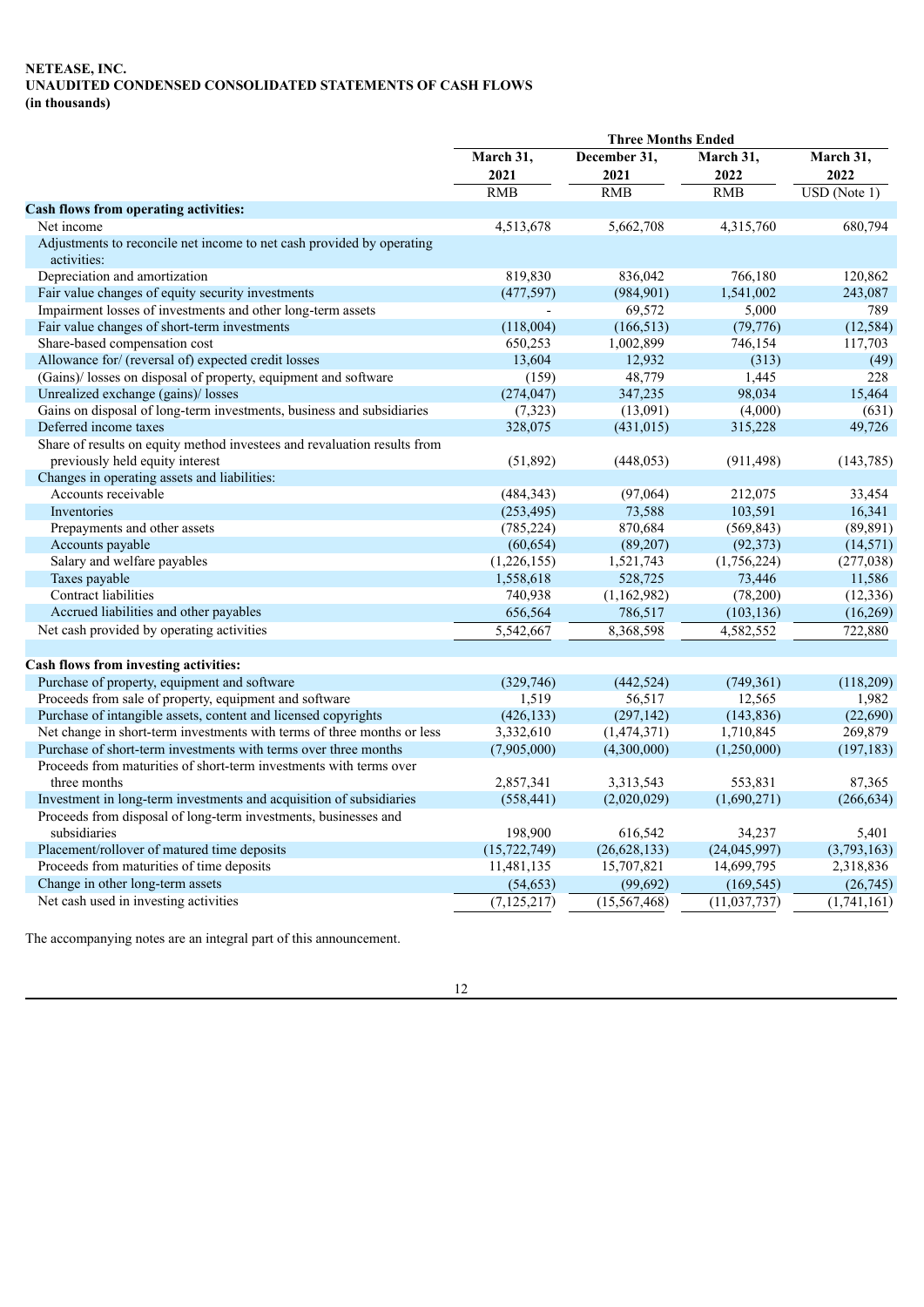## **NETEASE, INC. UNAUDITED CONDENSED CONSOLIDATED STATEMENTS OF CASH FLOWS (in thousands)**

|                                                                                      | <b>Three Months Ended</b> |                      |                   |                                  |
|--------------------------------------------------------------------------------------|---------------------------|----------------------|-------------------|----------------------------------|
|                                                                                      | March 31,<br>2021         | December 31,<br>2021 | March 31,<br>2022 | March 31,<br>2022                |
|                                                                                      | <b>RMB</b>                | <b>RMB</b>           | <b>RMB</b>        | $\overline{\text{USD (Note 1)}}$ |
| Cash flows from operating activities:                                                |                           |                      |                   |                                  |
| Net income                                                                           | 4,513,678                 | 5,662,708            | 4,315,760         | 680,794                          |
| Adjustments to reconcile net income to net cash provided by operating<br>activities: |                           |                      |                   |                                  |
| Depreciation and amortization                                                        | 819,830                   | 836,042              | 766,180           | 120,862                          |
| Fair value changes of equity security investments                                    | (477, 597)                | (984, 901)           | 1,541,002         | 243,087                          |
| Impairment losses of investments and other long-term assets                          |                           | 69,572               | 5,000             | 789                              |
| Fair value changes of short-term investments                                         | (118,004)                 | (166, 513)           | (79, 776)         | (12, 584)                        |
| Share-based compensation cost                                                        | 650,253                   | 1,002,899            | 746,154           | 117,703                          |
| Allowance for/ (reversal of) expected credit losses                                  | 13,604                    | 12,932               | (313)             | (49)                             |
| (Gains)/ losses on disposal of property, equipment and software                      | (159)                     | 48,779               | 1,445             | 228                              |
| Unrealized exchange (gains)/ losses                                                  | (274, 047)                | 347,235              | 98,034            | 15,464                           |
| Gains on disposal of long-term investments, business and subsidiaries                | (7, 323)                  | (13,091)             | (4,000)           | (631)                            |
| Deferred income taxes                                                                | 328,075                   | (431, 015)           | 315,228           | 49,726                           |
| Share of results on equity method investees and revaluation results from             |                           |                      |                   |                                  |
| previously held equity interest                                                      | (51,892)                  | (448, 053)           | (911, 498)        | (143, 785)                       |
| Changes in operating assets and liabilities:                                         |                           |                      |                   |                                  |
| Accounts receivable                                                                  | (484, 343)                | (97,064)             | 212,075           | 33,454                           |
| Inventories                                                                          | (253, 495)                | 73,588               | 103,591           | 16,341                           |
| Prepayments and other assets                                                         | (785, 224)                | 870,684              | (569, 843)        | (89, 891)                        |
| Accounts payable                                                                     | (60, 654)                 | (89,207)             | (92, 373)         | (14, 571)                        |
| Salary and welfare payables                                                          | (1,226,155)               | 1,521,743            | (1,756,224)       | (277, 038)                       |
| Taxes payable                                                                        | 1,558,618                 | 528,725              | 73,446            | 11,586                           |
| Contract liabilities                                                                 | 740,938                   | (1,162,982)          | (78,200)          | (12, 336)                        |
| Accrued liabilities and other payables                                               | 656,564                   | 786,517              | (103, 136)        | (16,269)                         |
| Net cash provided by operating activities                                            | 5,542,667                 | 8,368,598            | 4,582,552         | 722,880                          |
| Cash flows from investing activities:                                                |                           |                      |                   |                                  |
| Purchase of property, equipment and software                                         | (329, 746)                | (442, 524)           | (749, 361)        | (118,209)                        |
| Proceeds from sale of property, equipment and software                               | 1,519                     | 56,517               | 12,565            | 1,982                            |
| Purchase of intangible assets, content and licensed copyrights                       | (426, 133)                | (297, 142)           | (143, 836)        | (22,690)                         |
| Net change in short-term investments with terms of three months or less              | 3,332,610                 | (1,474,371)          | 1,710,845         | 269,879                          |
| Purchase of short-term investments with terms over three months                      | (7,905,000)               | (4,300,000)          | (1,250,000)       | (197, 183)                       |
| Proceeds from maturities of short-term investments with terms over                   |                           |                      |                   |                                  |
| three months                                                                         | 2,857,341                 | 3,313,543            | 553,831           | 87,365                           |
| Investment in long-term investments and acquisition of subsidiaries                  | (558, 441)                | (2,020,029)          | (1,690,271)       | (266, 634)                       |
| Proceeds from disposal of long-term investments, businesses and                      |                           |                      |                   |                                  |
| subsidiaries                                                                         | 198,900                   | 616,542              | 34,237            | 5,401                            |
| Placement/rollover of matured time deposits                                          | (15, 722, 749)            | (26, 628, 133)       | (24, 045, 997)    | (3,793,163)                      |
| Proceeds from maturities of time deposits                                            | 11,481,135                | 15,707,821           | 14,699,795        | 2,318,836                        |
| Change in other long-term assets                                                     | (54, 653)                 | (99, 692)            | (169, 545)        | (26, 745)                        |
| Net cash used in investing activities                                                | (7,125,217)               | (15, 567, 468)       | (11, 037, 737)    | (1,741,161)                      |

The accompanying notes are an integral part of this announcement.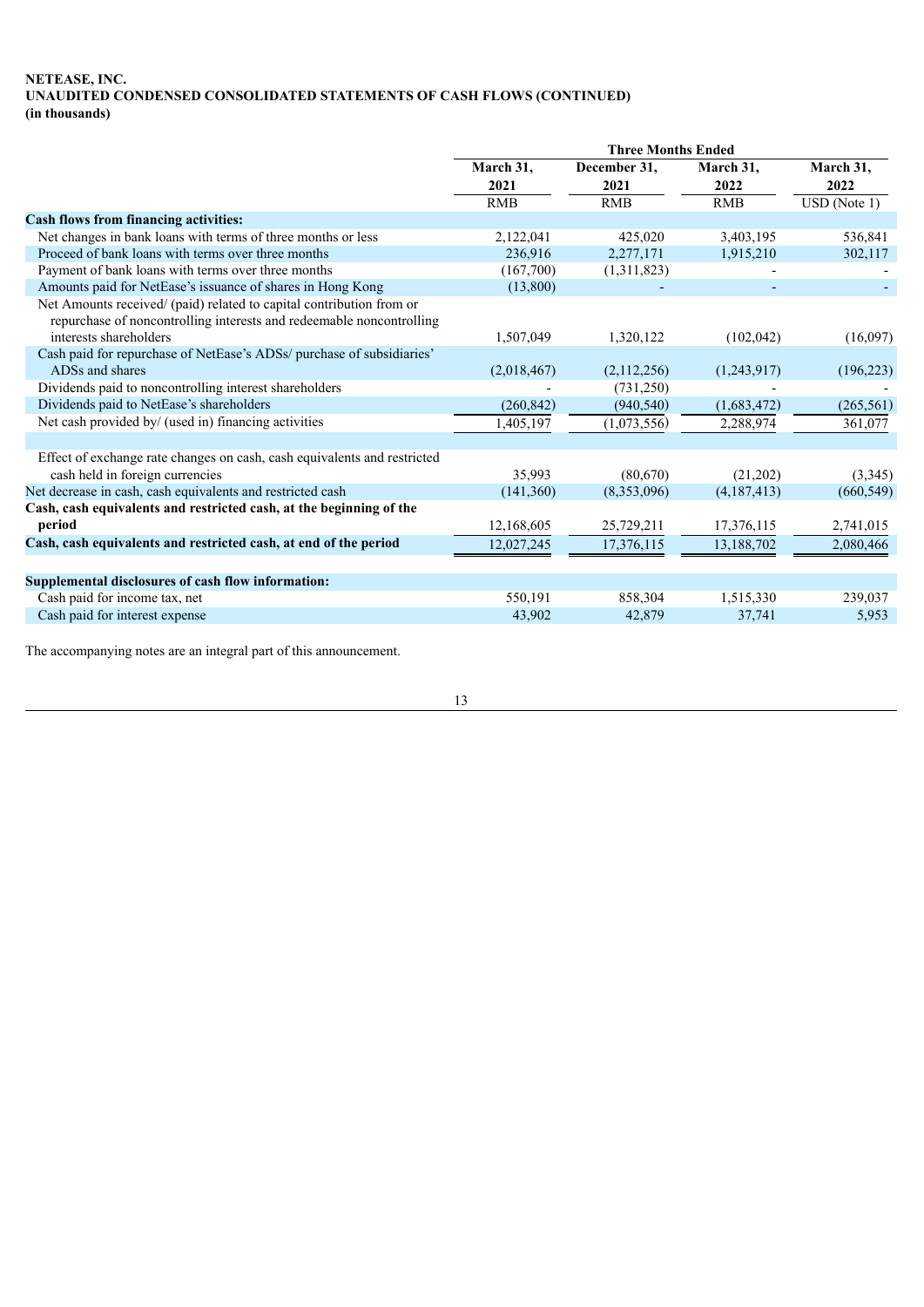## **NETEASE, INC. UNAUDITED CONDENSED CONSOLIDATED STATEMENTS OF CASH FLOWS (CONTINUED) (in thousands)**

|                                                                                                                                                                        | <b>Three Months Ended</b> |                      |                   |                   |
|------------------------------------------------------------------------------------------------------------------------------------------------------------------------|---------------------------|----------------------|-------------------|-------------------|
|                                                                                                                                                                        | March 31,<br>2021         | December 31,<br>2021 | March 31,<br>2022 | March 31,<br>2022 |
|                                                                                                                                                                        |                           |                      |                   |                   |
|                                                                                                                                                                        | <b>RMB</b>                | <b>RMB</b>           | <b>RMB</b>        | $USD$ (Note 1)    |
| <b>Cash flows from financing activities:</b>                                                                                                                           |                           |                      |                   |                   |
| Net changes in bank loans with terms of three months or less                                                                                                           | 2,122,041                 | 425,020              | 3,403,195         | 536,841           |
| Proceed of bank loans with terms over three months                                                                                                                     | 236,916                   | 2,277,171            | 1,915,210         | 302,117           |
| Payment of bank loans with terms over three months                                                                                                                     | (167,700)                 | (1,311,823)          |                   |                   |
| Amounts paid for NetEase's issuance of shares in Hong Kong                                                                                                             | (13,800)                  |                      |                   |                   |
| Net Amounts received/ (paid) related to capital contribution from or<br>repurchase of noncontrolling interests and redeemable noncontrolling<br>interests shareholders | 1,507,049                 | 1,320,122            | (102, 042)        | (16,097)          |
| Cash paid for repurchase of NetEase's ADSs/ purchase of subsidiaries'                                                                                                  |                           |                      |                   |                   |
| ADSs and shares                                                                                                                                                        | (2,018,467)               | (2,112,256)          | (1,243,917)       | (196, 223)        |
| Dividends paid to noncontrolling interest shareholders                                                                                                                 |                           | (731,250)            |                   |                   |
| Dividends paid to NetEase's shareholders                                                                                                                               | (260, 842)                | (940, 540)           | (1,683,472)       | (265, 561)        |
| Net cash provided by/ (used in) financing activities                                                                                                                   | 1,405,197                 | (1,073,556)          | 2,288,974         | 361,077           |
|                                                                                                                                                                        |                           |                      |                   |                   |
| Effect of exchange rate changes on cash, cash equivalents and restricted                                                                                               |                           |                      |                   |                   |
| cash held in foreign currencies                                                                                                                                        | 35,993                    | (80,670)             | (21,202)          | (3,345)           |
| Net decrease in cash, cash equivalents and restricted cash                                                                                                             | (141,360)                 | (8,353,096)          | (4,187,413)       | (660, 549)        |
| Cash, cash equivalents and restricted cash, at the beginning of the                                                                                                    |                           |                      |                   |                   |
| period                                                                                                                                                                 | 12,168,605                | 25,729,211           | 17,376,115        | 2,741,015         |
| Cash, cash equivalents and restricted cash, at end of the period                                                                                                       | 12,027,245                | 17,376,115           | 13,188,702        | 2,080,466         |
|                                                                                                                                                                        |                           |                      |                   |                   |
| Supplemental disclosures of cash flow information:                                                                                                                     |                           |                      |                   |                   |
| Cash paid for income tax, net                                                                                                                                          | 550,191                   | 858,304              | 1,515,330         | 239,037           |
| Cash paid for interest expense                                                                                                                                         | 43,902                    | 42,879               | 37,741            | 5,953             |
|                                                                                                                                                                        |                           |                      |                   |                   |

The accompanying notes are an integral part of this announcement.

13

<u> 1980 - Johann Barbara, martxa amerikan personal (h. 1980).</u>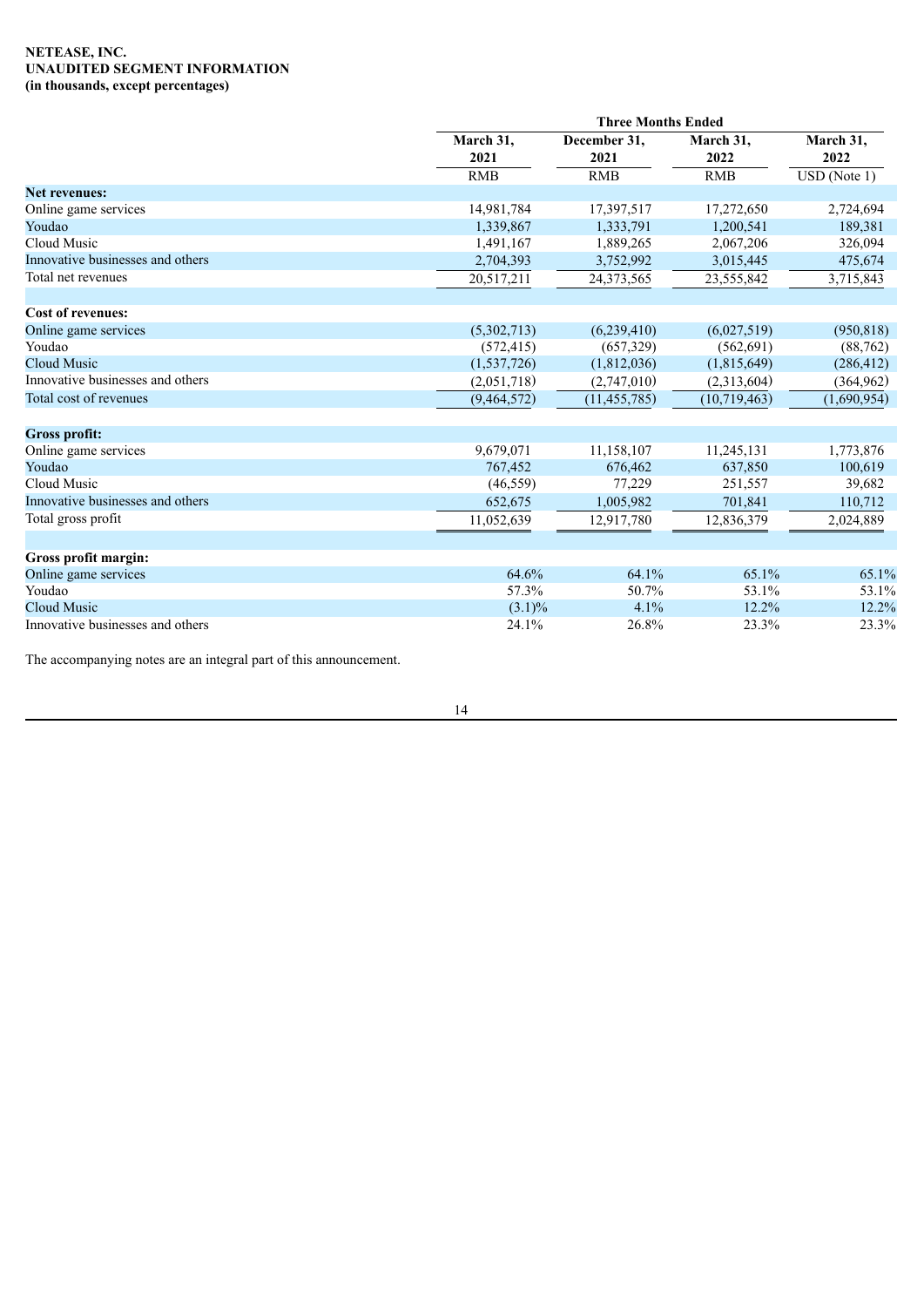## **NETEASE, INC. UNAUDITED SEGMENT INFORMATION (in thousands, except percentages)**

|                                  |             | <b>Three Months Ended</b>          |                   |                                     |  |
|----------------------------------|-------------|------------------------------------|-------------------|-------------------------------------|--|
|                                  | March 31,   | December 31,<br>2021<br><b>RMB</b> | March 31,<br>2022 | March 31,<br>2022<br>$USD$ (Note 1) |  |
|                                  | 2021        |                                    |                   |                                     |  |
|                                  | <b>RMB</b>  |                                    | <b>RMB</b>        |                                     |  |
| <b>Net revenues:</b>             |             |                                    |                   |                                     |  |
| Online game services             | 14,981,784  | 17,397,517                         | 17,272,650        | 2,724,694                           |  |
| Youdao                           | 1,339,867   | 1,333,791                          | 1,200,541         | 189,381                             |  |
| Cloud Music                      | 1,491,167   | 1,889,265                          | 2,067,206         | 326,094                             |  |
| Innovative businesses and others | 2,704,393   | 3,752,992                          | 3,015,445         | 475,674                             |  |
| Total net revenues               | 20,517,211  | 24,373,565                         | 23,555,842        | 3,715,843                           |  |
| <b>Cost of revenues:</b>         |             |                                    |                   |                                     |  |
| Online game services             | (5,302,713) | (6,239,410)                        | (6,027,519)       | (950, 818)                          |  |
| Youdao                           | (572, 415)  | (657,329)                          | (562,691)         | (88, 762)                           |  |
| Cloud Music                      | (1,537,726) | (1,812,036)                        | (1,815,649)       | (286, 412)                          |  |
| Innovative businesses and others | (2,051,718) | (2,747,010)                        | (2,313,604)       | (364, 962)                          |  |
| Total cost of revenues           | (9,464,572) | (11, 455, 785)                     | (10, 719, 463)    | (1,690,954)                         |  |
| <b>Gross profit:</b>             |             |                                    |                   |                                     |  |
| Online game services             | 9,679,071   | 11,158,107                         | 11,245,131        | 1,773,876                           |  |
| Youdao                           | 767,452     | 676,462                            | 637,850           | 100,619                             |  |
| Cloud Music                      | (46, 559)   | 77,229                             | 251,557           | 39,682                              |  |
| Innovative businesses and others | 652,675     | 1,005,982                          | 701,841           | 110,712                             |  |
| Total gross profit               | 11,052,639  | 12,917,780                         | 12,836,379        | 2,024,889                           |  |
|                                  |             |                                    |                   |                                     |  |
| Gross profit margin:             |             |                                    |                   |                                     |  |
| Online game services             | 64.6%       | 64.1%                              | 65.1%             | 65.1%                               |  |
| Youdao<br>Cloud Music            | 57.3%       | 50.7%                              | 53.1%             | 53.1%                               |  |
|                                  | $(3.1)\%$   | 4.1%                               | 12.2%             | 12.2%                               |  |
| Innovative businesses and others | 24.1%       | 26.8%                              | 23.3%             | 23.3%                               |  |

The accompanying notes are an integral part of this announcement.